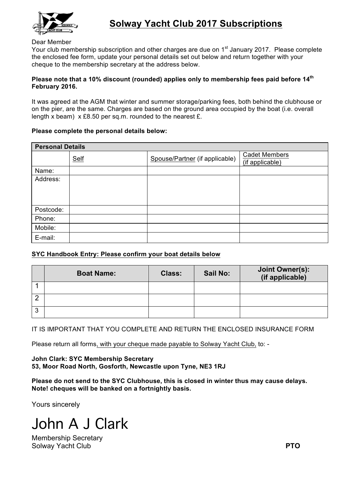

#### Dear Member

Your club membership subscription and other charges are due on 1<sup>st</sup> January 2017. Please complete the enclosed fee form, update your personal details set out below and return together with your cheque to the membership secretary at the address below.

### **Please note that a 10% discount (rounded) applies only to membership fees paid before 14th February 2016.**

It was agreed at the AGM that winter and summer storage/parking fees, both behind the clubhouse or on the pier, are the same. Charges are based on the ground area occupied by the boat (i.e. overall length x beam) x £8.50 per sq.m. rounded to the nearest £.

#### **Please complete the personal details below:**

| <b>Personal Details</b> |      |                                |                                         |  |  |  |  |
|-------------------------|------|--------------------------------|-----------------------------------------|--|--|--|--|
|                         | Self | Spouse/Partner (if applicable) | <b>Cadet Members</b><br>(if applicable) |  |  |  |  |
| Name:                   |      |                                |                                         |  |  |  |  |
| Address:                |      |                                |                                         |  |  |  |  |
| Postcode:               |      |                                |                                         |  |  |  |  |
| Phone:                  |      |                                |                                         |  |  |  |  |
| Mobile:                 |      |                                |                                         |  |  |  |  |
| E-mail:                 |      |                                |                                         |  |  |  |  |

## **SYC Handbook Entry: Please confirm your boat details below**

|   | <b>Boat Name:</b> | <b>Class:</b> | <b>Sail No:</b> | Joint Owner(s):<br>(if applicable) |
|---|-------------------|---------------|-----------------|------------------------------------|
|   |                   |               |                 |                                    |
|   |                   |               |                 |                                    |
| 3 |                   |               |                 |                                    |

IT IS IMPORTANT THAT YOU COMPLETE AND RETURN THE ENCLOSED INSURANCE FORM

Please return all forms, with your cheque made payable to Solway Yacht Club, to: -

**John Clark: SYC Membership Secretary 53, Moor Road North, Gosforth, Newcastle upon Tyne, NE3 1RJ**

**Please do not send to the SYC Clubhouse, this is closed in winter thus may cause delays. Note! cheques will be banked on a fortnightly basis.**

Yours sincerely

John A J Clark

Membership Secretary Solway Yacht Club **PTO**